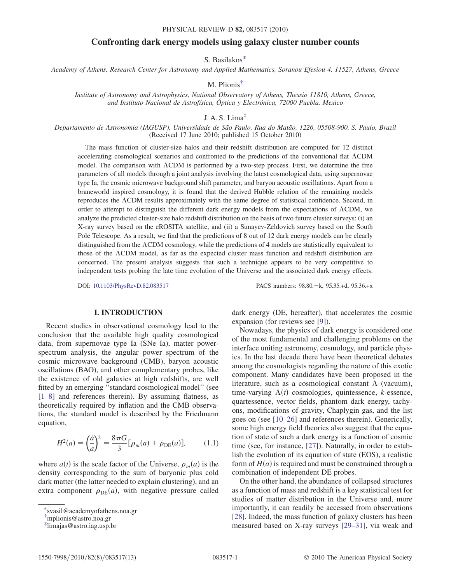# Confronting dark energy models using galaxy cluster number counts

S. Basilako[s\\*](#page-0-0)

<span id="page-0-4"></span><span id="page-0-3"></span>Academy of Athens, Research Center for Astronomy and Applied Mathematics, Soranou Efesiou 4, 11527, Athens, Greece

M. Plionis[†](#page-0-1)

Institute of Astronomy and Astrophysics, National Observatory of Athens, Thessio 11810, Athens, Greece, and Instituto Nacional de Astrofísica, Óptica y Electrónica, 72000 Puebla, Mexico

J. A. S. Lima $<sup>‡</sup>$  $<sup>‡</sup>$  $<sup>‡</sup>$ </sup>

<span id="page-0-5"></span>Departamento de Astronomia (IAGUSP), Universidade de São Paulo, Rua do Matão, 1226, 05508-900, S. Paulo, Brazil (Received 17 June 2010; published 15 October 2010)

The mass function of cluster-size halos and their redshift distribution are computed for 12 distinct accelerating cosmological scenarios and confronted to the predictions of the conventional flat CDM model. The comparison with  $\Lambda$ CDM is performed by a two-step process. First, we determine the free parameters of all models through a joint analysis involving the latest cosmological data, using supernovae type Ia, the cosmic microwave background shift parameter, and baryon acoustic oscillations. Apart from a braneworld inspired cosmology, it is found that the derived Hubble relation of the remaining models reproduces the  $\Lambda$ CDM results approximately with the same degree of statistical confidence. Second, in order to attempt to distinguish the different dark energy models from the expectations of  $\Lambda$ CDM, we analyze the predicted cluster-size halo redshift distribution on the basis of two future cluster surveys: (i) an X-ray survey based on the eROSITA satellite, and (ii) a Sunayev-Zeldovich survey based on the South Pole Telescope. As a result, we find that the predictions of 8 out of 12 dark energy models can be clearly distinguished from the CDM cosmology, while the predictions of 4 models are statistically equivalent to those of the CDM model, as far as the expected cluster mass function and redshift distribution are concerned. The present analysis suggests that such a technique appears to be very competitive to independent tests probing the late time evolution of the Universe and the associated dark energy effects.

DOI: [10.1103/PhysRevD.82.083517](http://dx.doi.org/10.1103/PhysRevD.82.083517) PACS numbers: 98.80. - k, 95.35.+d, 95.36.+x

# I. INTRODUCTION

Recent studies in observational cosmology lead to the conclusion that the available high quality cosmological data, from supernovae type Ia (SNe Ia), matter powerspectrum analysis, the angular power spectrum of the cosmic microwave background (CMB), baryon acoustic oscillations (BAO), and other complementary probes, like the existence of old galaxies at high redshifts, are well fitted by an emerging ''standard cosmological model'' (see [\[1–](#page-11-0)[8](#page-11-1)] and references therein). By assuming flatness, as theoretically required by inflation and the CMB observations, the standard model is described by the Friedmann equation,

<span id="page-0-6"></span>
$$
H^{2}(a) = \left(\frac{\dot{a}}{a}\right)^{2} = \frac{8\pi G}{3} [\rho_{m}(a) + \rho_{DE}(a)], \qquad (1.1)
$$

where  $a(t)$  is the scale factor of the Universe,  $\rho_m(a)$  is the density corresponding to the sum of baryonic plus cold dark matter (the latter needed to explain clustering), and an extra component  $\rho_{DE}(a)$ , with negative pressure called

1550-7998/2010/82(8)/083517(13) 083517-1 © 2010 The American Physical Society

dark energy (DE, hereafter), that accelerates the cosmic expansion (for reviews see [\[9](#page-11-2)]).

Nowadays, the physics of dark energy is considered one of the most fundamental and challenging problems on the interface uniting astronomy, cosmology, and particle physics. In the last decade there have been theoretical debates among the cosmologists regarding the nature of this exotic component. Many candidates have been proposed in the literature, such as a cosmological constant  $\Lambda$  (vacuum), time-varying  $\Lambda(t)$  cosmologies, quintessence, k-essence, quartessence, vector fields, phantom dark energy, tachyons, modifications of gravity, Chaplygin gas, and the list goes on (see [[10](#page-11-3)–[26](#page-11-4)] and references therein). Generically, some high energy field theories also suggest that the equation of state of such a dark energy is a function of cosmic time (see, for instance, [[27](#page-11-5)]). Naturally, in order to establish the evolution of its equation of state (EOS), a realistic form of  $H(a)$  is required and must be constrained through a combination of independent DE probes.

On the other hand, the abundance of collapsed structures as a function of mass and redshift is a key statistical test for studies of matter distribution in the Universe and, more importantly, it can readily be accessed from observations [\[28\]](#page-11-6). Indeed, the mass function of galaxy clusters has been measured based on X-ray surveys [\[29](#page-11-7)–[31](#page-11-8)], via weak and

<span id="page-0-0"></span>[<sup>\\*</sup>s](#page-0-3)vasil@academyofathens.noa.gr

<span id="page-0-1"></span>[<sup>†</sup>](#page-0-4) mplionis@astro.noa.gr

<span id="page-0-2"></span>[<sup>‡</sup>](#page-0-5) limajas@astro.iag.usp.br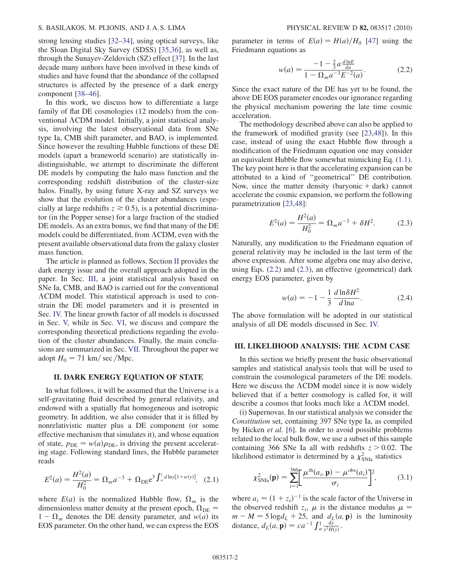strong lensing studies [[32](#page-11-9)[–34\]](#page-11-10), using optical surveys, like the Sloan Digital Sky Survey (SDSS) [\[35,](#page-11-11)[36\]](#page-11-12), as well as, through the Sunayev-Zeldovich (SZ) effect [\[37\]](#page-11-13). In the last decade many authors have been involved in these kinds of studies and have found that the abundance of the collapsed structures is affected by the presence of a dark energy component [\[38–](#page-11-14)[46](#page-11-15)].

In this work, we discuss how to differentiate a large family of flat DE cosmologies (12 models) from the conventional  $\Lambda$ CDM model. Initially, a joint statistical analysis, involving the latest observational data from SNe type Ia, CMB shift parameter, and BAO, is implemented. Since however the resulting Hubble functions of these DE models (apart a braneworld scenario) are statistically indistinguishable, we attempt to discriminate the different DE models by computing the halo mass function and the corresponding redshift distribution of the cluster-size halos. Finally, by using future X-ray and SZ surveys we show that the evolution of the cluster abundances (especially at large redshifts  $z \ge 0.5$ ), is a potential discriminator (in the Popper sense) for a large fraction of the studied DE models. As an extra bonus, we find that many of the DE models could be differentiated, from  $\Lambda$ CDM, even with the present available observational data from the galaxy cluster mass function.

The article is planned as follows. Section [II](#page-1-0) provides the dark energy issue and the overall approach adopted in the paper. In Sec. [III](#page-1-1), a joint statistical analysis based on SNe Ia, CMB, and BAO is carried out for the conventional CDM model. This statistical approach is used to constrain the DE model parameters and it is presented in Sec. [IV.](#page-2-0) The linear growth factor of all models is discussed in Sec. [V,](#page-5-0) while in Sec. [VI](#page-6-0), we discuss and compare the corresponding theoretical predictions regarding the evolution of the cluster abundances. Finally, the main conclusions are summarized in Sec. [VII](#page-10-0). Throughout the paper we adopt  $H_0 = 71$  km/ sec /Mpc.

## <span id="page-1-0"></span>II. DARK ENERGY EQUATION OF STATE

In what follows, it will be assumed that the Universe is a self-gravitating fluid described by general relativity, and endowed with a spatially flat homogeneous and isotropic geometry. In addition, we also consider that it is filled by nonrelativistic matter plus a DE component (or some effective mechanism that simulates it), and whose equation of state,  $p_{DE} = w(a)\rho_{DE}$ , is driving the present accelerating stage. Following standard lines, the Hubble parameter reads

<span id="page-1-4"></span>
$$
E^{2}(a) = \frac{H^{2}(a)}{H_{0}^{2}} = \Omega_{m} a^{-3} + \Omega_{\rm DE} e^{3} \int_{a}^{1} d\ln y [1 + w(y)]
$$
, (2.1)

where  $E(a)$  is the normalized Hubble flow,  $\Omega_m$  is the dimensionless matter density at the present epoch,  $\Omega_{DE}$  =  $1 - \Omega_m$  denotes the DE density parameter, and  $w(a)$  its EOS parameter. On the other hand, we can express the EOS <span id="page-1-2"></span>parameter in terms of  $E(a) = H(a)/H_0$  [[47](#page-11-16)] using the Friedmann equations as

$$
w(a) = \frac{-1 - \frac{2}{3}a\frac{d\ln E}{da}}{1 - \Omega_m a^{-3} E^{-2}(a)}.
$$
 (2.2)

Since the exact nature of the DE has yet to be found, the above DE EOS parameter encodes our ignorance regarding the physical mechanism powering the late time cosmic acceleration.

The methodology described above can also be applied to the framework of modified gravity (see [[23](#page-11-17),[48](#page-11-18)]). In this case, instead of using the exact Hubble flow through a modification of the Friedmann equation one may consider an equivalent Hubble flow somewhat mimicking Eq. ([1.1\)](#page-0-6). The key point here is that the accelerating expansion can be attributed to a kind of ''geometrical'' DE contribution. Now, since the matter density (baryonic  $+$  dark) cannot accelerate the cosmic expansion, we perform the following parametrization [\[23,](#page-11-17)[48\]](#page-11-18):

$$
E^2(a) = \frac{H^2(a)}{H_0^2} = \Omega_m a^{-3} + \delta H^2.
$$
 (2.3)

<span id="page-1-3"></span>Naturally, any modification to the Friedmann equation of general relativity may be included in the last term of the above expression. After some algebra one may also derive, using Eqs. ([2.2](#page-1-2)) and [\(2.3\)](#page-1-3), an effective (geometrical) dark energy EOS parameter, given by

$$
w(a) = -1 - \frac{1}{3} \frac{d \ln \delta H^2}{d \ln a}.
$$
 (2.4)

<span id="page-1-5"></span>The above formulation will be adopted in our statistical analysis of all DE models discussed in Sec. [IV.](#page-2-0)

## <span id="page-1-1"></span>III. LIKELIHOOD ANALYSIS: THE ACDM CASE

In this section we briefly present the basic observational samples and statistical analysis tools that will be used to constrain the cosmological parameters of the DE models. Here we discuss the  $\Lambda$ CDM model since it is now widely believed that if a better cosmology is called for, it will describe a cosmos that looks much like a  $\Lambda$ CDM model.

(i) Supernovas. In our statistical analysis we consider the Constitution set, containing 397 SNe type Ia, as compiled by Hicken et al. [[6](#page-11-19)]. In order to avoid possible problems related to the local bulk flow, we use a subset of this sample containing 366 SNe Ia all with redshifts  $z > 0.02$ . The likelihood estimator is determined by a  $\chi^2_{\text{SNIa}}$  statistics

$$
\chi_{\text{SNIa}}^2(\mathbf{p}) = \sum_{i=1}^{366} \left[ \frac{\mu^{\text{th}}(a_i, \mathbf{p}) - \mu^{\text{obs}}(a_i)}{\sigma_i} \right]^2, \tag{3.1}
$$

where  $a_i = (1 + z_i)^{-1}$  is the scale factor of the Universe in the observed redshift  $z_i$ ,  $\mu$  is the distance modulus  $\mu =$  $m - M = 5 \log d_L + 25$ , and  $d_L(a, \mathbf{p})$  is the luminosity distance,  $d_L(a, \mathbf{p}) = ca^{-1} \int_a^1 \frac{dy}{y^2 H(y)}$ .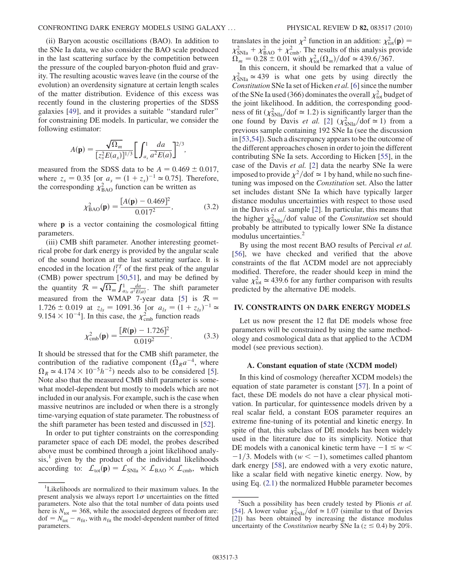(ii) Baryon acoustic oscillations (BAO). In addition to the SNe Ia data, we also consider the BAO scale produced in the last scattering surface by the competition between the pressure of the coupled baryon-photon fluid and gravity. The resulting acoustic waves leave (in the course of the evolution) an overdensity signature at certain length scales of the matter distribution. Evidence of this excess was recently found in the clustering properties of the SDSS galaxies [\[49\]](#page-11-20), and it provides a suitable ''standard ruler'' for constraining DE models. In particular, we consider the following estimator:

$$
A(\mathbf{p}) = \frac{\sqrt{\Omega_m}}{[z_s^2 E(a_s)]^{1/3}} \bigg[ \int_{a_s}^1 \frac{da}{a^2 E(a)} \bigg]^{2/3},
$$

measured from the SDSS data to be  $A = 0.469 \pm 0.017$ , where  $z_s = 0.35$  [or  $a_s = (1 + z_s)^{-1} \approx 0.75$ ]. Therefore, the corresponding  $\chi^2_{\text{BAO}}$  function can be written as

$$
\chi_{\text{BAO}}^2(\mathbf{p}) = \frac{[A(\mathbf{p}) - 0.469]^2}{0.017^2},\tag{3.2}
$$

where **p** is a vector containing the cosmological fitting parameters.

(iii) CMB shift parameter. Another interesting geometrical probe for dark energy is provided by the angular scale of the sound horizon at the last scattering surface. It is encoded in the location  $l_1^{TT}$  of the first peak of the angular (CMB) power spectrum [\[50](#page-11-21)[,51\]](#page-11-22), and may be defined by the quantity  $\mathcal{R} = \sqrt{\Omega_m} \int_{a_{ls}}^1 \frac{da}{a^2 E(a)}$ . The shift parameter measured from the WMAP 7-year data [[5](#page-11-23)] is  $R =$  $1.726 \pm 0.019$  at  $z_{ls} = 1091.36$  [or  $a_{ls} = (1 + z_{ls})^{-1} \approx$  $9.154 \times 10^{-4}$ . In this case, the  $\chi^2_{\rm cmb}$  function reads

$$
\chi_{\rm cmb}^2(\mathbf{p}) = \frac{[R(\mathbf{p}) - 1.726]^2}{0.019^2}.
$$
 (3.3)

It should be stressed that for the CMB shift parameter, the contribution of the radiative component  $(\Omega_R a^{-4})$ , where  $\Omega_R \simeq 4.174 \times 10^{-5} h^{-2}$  $\Omega_R \simeq 4.174 \times 10^{-5} h^{-2}$  $\Omega_R \simeq 4.174 \times 10^{-5} h^{-2}$  needs also to be considered [5]. Note also that the measured CMB shift parameter is somewhat model-dependent but mostly to models which are not included in our analysis. For example, such is the case when massive neutrinos are included or when there is a strongly time-varying equation of state parameter. The robustness of the shift parameter has been tested and discussed in [\[52](#page-11-24)].

In order to put tighter constraints on the corresponding parameter space of each DE model, the probes described above must be combined through a joint likelihood analy $sis<sup>1</sup>$ , given by the product of the individual likelihoods according to:  $\mathcal{L}_{\text{tot}}(\mathbf{p}) = \mathcal{L}_{\text{SNIa}} \times \mathcal{L}_{\text{BAO}} \times \mathcal{L}_{\text{cmb}}$ , which translates in the joint  $\chi^2$  function in an addition:  $\chi^2_{tot}(\mathbf{p}) =$  $\chi^2_{\rm SNIa} + \chi^2_{\rm BAO} + \chi^2_{\rm cmb}$ . The results of this analysis provide  $\Omega_m = 0.28 \pm 0.01$  with  $\chi^2_{\text{tot}}(\Omega_m)/\text{dof} \simeq 439.6/367$ .

In this concern, it should be remarked that a value of  $\chi^2_{\text{SNIa}} \approx 439$  is what one gets by using directly the Constitution SNe Ia set of Hicken et al. [[6\]](#page-11-19) since the number of the SNe Ia used (366) dominates the overall  $\chi^2_{\rm tot}$  budget of the joint likelihood. In addition, the corresponding goodness of fit ( $\chi^2_{\text{SNIa}}/\text{dof} \approx 1.2$ ) is significantly larger than the one found by Davis *et al.* [\[2\]](#page-11-25)  $(\chi^2_{\text{SNIa}}/\text{dof} \simeq 1)$  from a previous sample containing 192 SNe Ia (see the discussion in [\[53](#page-11-26)[,54\]](#page-11-27)). Such a discrepancy appears to be the outcome of the different approaches chosen in order to join the different contributing SNe Ia sets. According to Hicken [[55](#page-11-28)], in the case of the Davis et al. [\[2\]](#page-11-25) data the nearby SNe Ia were imposed to provide  $\chi^2$ /dof  $\simeq$  1 by hand, while no such finetuning was imposed on the Constitution set. Also the latter set includes distant SNe Ia which have typically larger distance modulus uncertainties with respect to those used in the Davis et al. sample [\[2](#page-11-25)]. In particular, this means that the higher  $\chi^2_{\rm SNIa}/\rm dof$  value of the *Constitution* set should probably be attributed to typically lower SNe Ia distance modulus uncertainties.<sup>2</sup>

By using the most recent BAO results of Percival et al. [\[56\]](#page-11-29), we have checked and verified that the above constraints of the flat  $\Lambda$ CDM model are not appreciably modified. Therefore, the reader should keep in mind the value  $\chi^2_{\text{tot}} \approx 439.6$  for any further comparison with results predicted by the alternative DE models.

## <span id="page-2-0"></span>IV. CONSTRAINTS ON DARK ENERGY MODELS

Let us now present the 12 flat DE models whose free parameters will be constrained by using the same methodology and cosmological data as that applied to the  $\Lambda$ CDM model (see previous section).

## A. Constant equation of state (XCDM model)

In this kind of cosmology (hereafter XCDM models) the equation of state parameter is constant [\[57\]](#page-11-30). In a point of fact, these DE models do not have a clear physical motivation. In particular, for quintessence models driven by a real scalar field, a constant EOS parameter requires an extreme fine-tuning of its potential and kinetic energy. In spite of that, this subclass of DE models has been widely used in the literature due to its simplicity. Notice that DE models with a canonical kinetic term have  $-1 \leq w$  $-1/3$ . Models with ( $w < -1$ ), sometimes called phantom dark energy [\[58\]](#page-11-31), are endowed with a very exotic nature, like a scalar field with negative kinetic energy. Now, by using Eq.  $(2.1)$  $(2.1)$  $(2.1)$  the normalized Hubble parameter becomes

<sup>&</sup>lt;sup>1</sup>Likelihoods are normalized to their maximum values. In the present analysis we always report  $1\sigma$  uncertainties on the fitted parameters. Note also that the total number of data points used here is  $N_{\text{tot}} = 368$ , while the associated degrees of freedom are:  $dof = N_{tot} - n_{fit}$ , with  $n_{fit}$  the model-dependent number of fitted parameters.

<sup>&</sup>lt;sup>2</sup>Such a possibility has been crudely tested by Plionis et al. [\[54\]](#page-11-27). A lower value  $\chi^2_{\text{SNIa}}/\text{dof} \simeq 1.07$  (similar to that of Davies [\[2\]](#page-11-25)) has been obtained by increasing the distance modulus uncertainty of the *Constitution* nearby SNe Ia ( $z \le 0.4$ ) by 20%.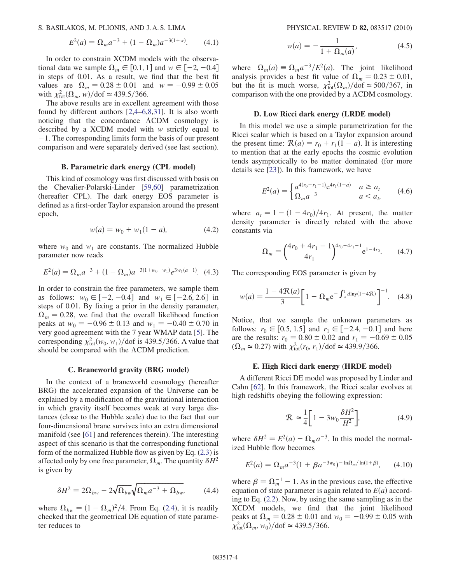S. BASILAKOS, M. PLIONIS, AND J. A. S. LIMA PHYSICAL REVIEW D 82, 083517 (2010)

$$
E^{2}(a) = \Omega_{m} a^{-3} + (1 - \Omega_{m}) a^{-3(1+w)}.
$$
 (4.1)

In order to constrain XCDM models with the observational data we sample  $\Omega_m \in [0.1, 1]$  and  $w \in [-2, -0.4]$ in steps of 0.01. As a result, we find that the best fit values are  $\Omega_m = 0.28 \pm 0.01$  and  $w = -0.99 \pm 0.05$ with  $\chi^2_{\text{tot}}(\Omega_m, w)/\text{dof} \simeq 439.5/366.$ 

The above results are in excellent agreement with those found by different authors [[2](#page-11-25)[,4–](#page-11-32)[6](#page-11-19),[8,](#page-11-1)[31\]](#page-11-8). It is also worth noticing that the concordance  $\Lambda$ CDM cosmology is described by a XCDM model with w strictly equal to  $-1$ . The corresponding limits form the basis of our present comparison and were separately derived (see last section).

## B. Parametric dark energy (CPL model)

This kind of cosmology was first discussed with basis on the Chevalier-Polarski-Linder [\[59](#page-12-0)[,60\]](#page-12-1) parametrization (hereafter CPL). The dark energy EOS parameter is defined as a first-order Taylor expansion around the present epoch,

$$
w(a) = w_0 + w_1(1 - a), \tag{4.2}
$$

where  $w_0$  and  $w_1$  are constants. The normalized Hubble parameter now reads

$$
E^{2}(a) = \Omega_{m} a^{-3} + (1 - \Omega_{m}) a^{-3(1 + w_{0} + w_{1})} e^{3w_{1}(a - 1)}.
$$
 (4.3)

In order to constrain the free parameters, we sample them as follows:  $w_0 \in [-2, -0.4]$  and  $w_1 \in [-2.6, 2.6]$  in steps of 0.01. By fixing a prior in the density parameter,  $\Omega_m = 0.28$ , we find that the overall likelihood function peaks at  $w_0 = -0.96 \pm 0.13$  and  $w_1 = -0.40 \pm 0.70$  in very good agreement with the 7 year WMAP data [[5](#page-11-23)]. The corresponding  $\chi^2_{\text{tot}}(w_0, w_1)/\text{dof}$  is 439.5/366. A value that should be compared with the  $\Lambda$ CDM prediction.

#### C. Braneworld gravity (BRG model)

In the context of a braneworld cosmology (hereafter BRG) the accelerated expansion of the Universe can be explained by a modification of the gravitational interaction in which gravity itself becomes weak at very large distances (close to the Hubble scale) due to the fact that our four-dimensional brane survives into an extra dimensional manifold (see [[61](#page-12-2)] and references therein). The interesting aspect of this scenario is that the corresponding functional form of the normalized Hubble flow as given by Eq. ([2.3](#page-1-3)) is affected only by one free parameter,  $\Omega_m$ . The quantity  $\delta H^2$ is given by

$$
\delta H^2 = 2\Omega_{bw} + 2\sqrt{\Omega_{bw}}\sqrt{\Omega_m a^{-3} + \Omega_{bw}},\tag{4.4}
$$

where  $\Omega_{bw} = (1 - \Omega_m)^2/4$ . From Eq. ([2.4](#page-1-5)), it is readily checked that the geometrical DE equation of state parameter reduces to

$$
w(a) = -\frac{1}{1 + \Omega_m(a)},
$$
\n(4.5)

where  $\Omega_m(a) \equiv \Omega_m a^{-3} / E^2(a)$ . The joint likelihood analysis provides a best fit value of  $\Omega_m = 0.23 \pm 0.01$ , but the fit is much worse,  $\chi^2_{\text{tot}}(\Omega_m)/\text{dof} \simeq 500/367$ , in comparison with the one provided by a  $\Lambda$ CDM cosmology.

#### D. Low Ricci dark energy (LRDE model)

In this model we use a simple parametrization for the Ricci scalar which is based on a Taylor expansion around the present time:  $\mathcal{R}(a) = r_0 + r_1(1 - a)$ . It is interesting to mention that at the early epochs the cosmic evolution tends asymptotically to be matter dominated (for more details see [\[23\]](#page-11-17)). In this framework, we have

$$
E^{2}(a) = \begin{cases} a^{4(r_{0} + r_{1} - 1)} e^{4r_{1}(1 - a)} & a \ge a_{t} \\ \Omega_{m} a^{-3} & a < a_{t}, \end{cases}
$$
 (4.6)

where  $a_t = 1 - (1 - 4r_0)/4r_1$ . At present, the matter density parameter is directly related with the above constants via

$$
\Omega_m = \left(\frac{4r_0 + 4r_1 - 1}{4r_1}\right)^{4r_0 + 4r_1 - 1} e^{1 - 4r_0}.\tag{4.7}
$$

The corresponding EOS parameter is given by

$$
w(a) = \frac{1 - 4\mathcal{R}(a)}{3} \bigg[ 1 - \Omega_m e^{-\int_a^1 d\text{ln}y(1 - 4\mathcal{R})} \bigg]^{-1}.
$$
 (4.8)

Notice, that we sample the unknown parameters as follows:  $r_0 \in [0.5, 1.5]$  and  $r_1 \in [-2.4, -0.1]$  and here are the results:  $r_0 = 0.80 \pm 0.02$  and  $r_1 = -0.69 \pm 0.05$  $(\Omega_m \approx 0.27)$  with  $\chi^2_{\text{tot}}(r_0, r_1)/\text{dof} \approx 439.9/366$ .

### E. High Ricci dark energy (HRDE model)

A different Ricci DE model was proposed by Linder and Cahn [\[62\]](#page-12-3). In this framework, the Ricci scalar evolves at high redshifts obeying the following expression:

$$
\mathcal{R} \simeq \frac{1}{4} \bigg[ 1 - 3w_0 \frac{\delta H^2}{H^2} \bigg],\tag{4.9}
$$

where  $\delta H^2 = E^2(a) - \Omega_m a^{-3}$ . In this model the normalized Hubble flow becomes

$$
E^{2}(a) = \Omega_{m} a^{-3} (1 + \beta a^{-3w_{0}})^{-\ln \Omega_{m}/\ln(1+\beta)}, \qquad (4.10)
$$

where  $\beta = \Omega_m^{-1} - 1$ . As in the previous case, the effective equation of state parameter is again related to  $E(a)$  according to Eq. ([2.2](#page-1-2)). Now, by using the same sampling as in the XCDM models, we find that the joint likelihood peaks at  $\Omega_m = 0.28 \pm 0.01$  and  $w_0 = -0.99 \pm 0.05$  with  $\chi^2_{\text{tot}}(\Omega_m, w_0)/\text{dof} \simeq 439.5/366.$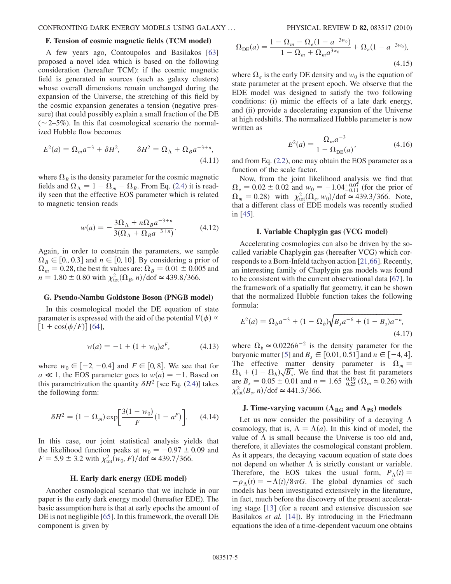## F. Tension of cosmic magnetic fields (TCM model)

A few years ago, Contoupolos and Basilakos [\[63\]](#page-12-4) proposed a novel idea which is based on the following consideration (hereafter TCM): if the cosmic magnetic field is generated in sources (such as galaxy clusters) whose overall dimensions remain unchanged during the expansion of the Universe, the stretching of this field by the cosmic expansion generates a tension (negative pressure) that could possibly explain a small fraction of the DE  $(-2-5%)$ . In this flat cosmological scenario the normalized Hubble flow becomes

$$
E^2(a) = \Omega_m a^{-3} + \delta H^2, \qquad \delta H^2 = \Omega_\Lambda + \Omega_B a^{-3+n},
$$
\n(4.11)

where  $\Omega_B$  is the density parameter for the cosmic magnetic fields and  $\Omega_{\Lambda} = 1 - \Omega_m - \Omega_B$ . From Eq. ([2.4](#page-1-5)) it is readily seen that the effective EOS parameter which is related to magnetic tension reads

$$
w(a) = -\frac{3\Omega_{\Lambda} + n\Omega_{B}a^{-3+n}}{3(\Omega_{\Lambda} + \Omega_{B}a^{-3+n})}.
$$
 (4.12)

Again, in order to constrain the parameters, we sample  $\Omega_B \in [0, 0.3]$  and  $n \in [0, 10]$ . By considering a prior of  $\Omega_m = 0.28$ , the best fit values are:  $\Omega_B = 0.01 \pm 0.005$  and  $n = 1.80 \pm 0.80$  with  $\chi^2_{\text{tot}}(\Omega_B, n)/\text{dof} \approx 439.8/366$ .

#### G. Pseudo-Nambu Goldstone Boson (PNGB model)

In this cosmological model the DE equation of state parameter is expressed with the aid of the potential  $V(\phi) \propto$  $[1 + \cos(\phi/F)]$  [\[64\]](#page-12-5),

$$
w(a) = -1 + (1 + w_0)a^F,
$$
 (4.13)

where  $w_0 \in [-2, -0.4]$  and  $F \in [0, 8]$ . We see that for  $a \ll 1$ , the EOS parameter goes to  $w(a) = -1$ . Based on this parametrization the quantity  $\delta H^2$  [see Eq. [\(2.4\)](#page-1-5)] takes the following form:

$$
\delta H^2 = (1 - \Omega_m) \exp\left[\frac{3(1 + w_0)}{F} (1 - a^F)\right].
$$
 (4.14)

In this case, our joint statistical analysis yields that the likelihood function peaks at  $w_0 = -0.97 \pm 0.09$  and  $F = 5.9 \pm 3.2$  with  $\chi^2_{\text{tot}}(w_0, F)/\text{dof} \approx 439.7/366$ .

## H. Early dark energy (EDE model)

Another cosmological scenario that we include in our paper is the early dark energy model (hereafter EDE). The basic assumption here is that at early epochs the amount of DE is not negligible [[65](#page-12-6)]. In this framework, the overall DE component is given by

$$
\Omega_{\rm DE}(a) = \frac{1 - \Omega_m - \Omega_e (1 - a^{-3w_0})}{1 - \Omega_m + \Omega_m a^{3w_0}} + \Omega_e (1 - a^{-3w_0}),
$$
\n(4.15)

where  $\Omega_e$  is the early DE density and  $w_0$  is the equation of state parameter at the present epoch. We observe that the EDE model was designed to satisfy the two following conditions: (i) mimic the effects of a late dark energy, and (ii) provide a decelerating expansion of the Universe at high redshifts. The normalized Hubble parameter is now written as

$$
E^2(a) = \frac{\Omega_m a^{-3}}{1 - \Omega_{\text{DE}}(a)},
$$
\n(4.16)

and from Eq. [\(2.2\)](#page-1-2), one may obtain the EOS parameter as a function of the scale factor.

Now, from the joint likelihood analysis we find that  $\Omega_e = 0.02 \pm 0.02$  and  $w_0 = -1.04_{-0.11}^{+0.07}$  (for the prior of  $\Omega_m = 0.28$ ) with  $\chi^2_{\text{tot}}(\Omega_e, w_0)/\text{dof} \approx 439.3/366$ . Note, that a different class of EDE models was recently studied in [[45](#page-11-33)].

## I. Variable Chaplygin gas (VCG model)

Accelerating cosmologies can also be driven by the socalled variable Chaplygin gas (hereafter VCG) which corresponds to a Born-Infeld tachyon action [\[21,](#page-11-34)[66\]](#page-12-7). Recently, an interesting family of Chaplygin gas models was found to be consistent with the current observational data [\[67\]](#page-12-8). In the framework of a spatially flat geometry, it can be shown that the normalized Hubble function takes the following formula:

$$
E^{2}(a) = \Omega_{b}a^{-3} + (1 - \Omega_{b})\sqrt{B_{s}a^{-6} + (1 - B_{s})a^{-n}},
$$
\n(4.17)

where  $\Omega_b \simeq 0.0226h^{-2}$  is the density parameter for the baryonic matter [\[5](#page-11-23)] and  $B_s \in [0.01, 0.51]$  and  $n \in [-4, 4]$ . The effective matter density parameter is  $\Omega_m =$  $\Omega_b + (1 - \Omega_b) \sqrt{B_s}$ . We find that the best fit parameters are  $B_s = 0.05 \pm 0.01$  and  $n = 1.65^{+0.19}_{-0.25}$  ( $\Omega_m \approx 0.26$ ) with  $\chi^2_{\text{tot}}(B_s, n)/\text{dof} \simeq 441.3/366.$ 

# J. Time-varying vacuum ( $\Lambda_{RG}$  and  $\Lambda_{PS}$ ) models

Let us now consider the possibility of a decaying  $\Lambda$ cosmology, that is,  $\Lambda = \Lambda(a)$ . In this kind of model, the value of  $\Lambda$  is small because the Universe is too old and, therefore, it alleviates the cosmological constant problem. As it appears, the decaying vacuum equation of state does not depend on whether  $\Lambda$  is strictly constant or variable. Therefore, the EOS takes the usual form,  $P_{\Lambda}(t) =$  $-\rho_{\Lambda}(t) = -\Lambda(t)/8\pi G$ . The global dynamics of such models has been investigated extensively in the literature, in fact, much before the discovery of the present accelerating stage [\[13\]](#page-11-35) (for a recent and extensive discussion see Basilakos *et al.* [[14](#page-11-36)]). By introducing in the Friedmann equations the idea of a time-dependent vacuum one obtains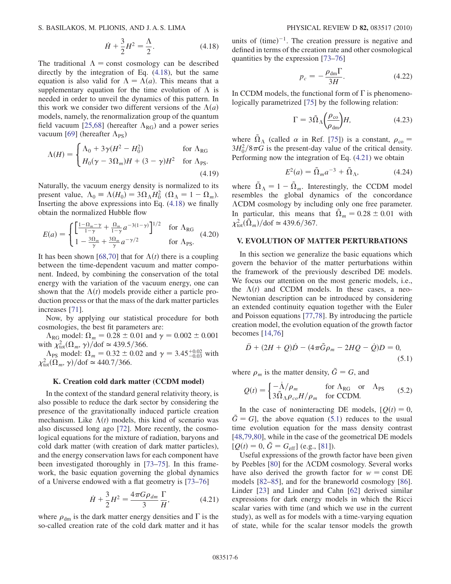<span id="page-5-1"></span>S. BASILAKOS, M. PLIONIS, AND J. A. S. LIMA PHYSICAL REVIEW D 82, 083517 (2010)

$$
\dot{H} + \frac{3}{2}H^2 = \frac{\Lambda}{2}.
$$
 (4.18)

The traditional  $\Lambda$  = const cosmology can be described directly by the integration of Eq. [\(4.18\)](#page-5-1), but the same equation is also valid for  $\Lambda = \Lambda(a)$ . This means that a supplementary equation for the time evolution of  $\Lambda$  is needed in order to unveil the dynamics of this pattern. In this work we consider two different versions of the  $\Lambda(a)$ models, namely, the renormalization group of the quantum field vacuum [[25](#page-11-37),[68](#page-12-9)] (hereafter  $\Lambda_{RG}$ ) and a power series vacuum [\[69\]](#page-12-10) (hereafter  $\Lambda_{PS}$ )

$$
\Lambda(H) = \begin{cases} \Lambda_0 + 3\gamma (H^2 - H_0^2) & \text{for } \Lambda_{\text{RG}} \\ H_0(\gamma - 3\Omega_m)H + (3 - \gamma)H^2 & \text{for } \Lambda_{\text{PS}}. \end{cases}
$$
\n(4.19)

Naturally, the vacuum energy density is normalized to its present value,  $\Lambda_0 \equiv \Lambda(H_0) = 3\Omega_\Lambda H_0^2$  ( $\Omega_\Lambda = 1 - \Omega_m$ ). Inserting the above expressions into Eq. [\(4.18\)](#page-5-1) we finally obtain the normalized Hubble flow

$$
E(a) = \begin{cases} \left[ \frac{1 - \Omega_m - \gamma}{1 - \gamma} + \frac{\Omega_m}{1 - \gamma} a^{-3(1 - \gamma)} \right]^{1/2} & \text{for } \Lambda_{\text{RG}}\\ 1 - \frac{3\Omega_m}{\gamma} + \frac{3\Omega_m}{\gamma} a^{-\gamma/2} & \text{for } \Lambda_{\text{PS}}. \end{cases}
$$
 (4.20)

It has been shown [\[68,](#page-12-9)[70\]](#page-12-11) that for  $\Lambda(t)$  there is a coupling between the time-dependent vacuum and matter component. Indeed, by combining the conservation of the total energy with the variation of the vacuum energy, one can shown that the  $\Lambda(t)$  models provide either a particle production process or that the mass of the dark matter particles increases [[71](#page-12-12)].

Now, by applying our statistical procedure for both cosmologies, the best fit parameters are:

 $\Lambda_{\text{RG}}$  model:  $\Omega_m = 0.28 \pm 0.01$  and  $\gamma = 0.002 \pm 0.001$ with  $\chi^2_{\text{tot}}(\Omega_m, \gamma) / \text{dof} \approx 439.5/366.$ 

 $\Lambda_{\text{PS}}$  model:  $\Omega_m = 0.32 \pm 0.02$  and  $\gamma = 3.45^{+0.02}_{-0.03}$  with  $\chi^2_{\text{tot}}(\Omega_m, \gamma)/\text{dof} \simeq 440.7/366.$ 

## K. Creation cold dark matter (CCDM model)

In the context of the standard general relativity theory, is also possible to reduce the dark sector by considering the presence of the gravitationally induced particle creation mechanism. Like  $\Lambda(t)$  models, this kind of scenario was also discussed long ago [\[72\]](#page-12-13). More recently, the cosmological equations for the mixture of radiation, baryons and cold dark matter (with creation of dark matter particles), and the energy conservation laws for each component have been investigated thoroughly in [[73](#page-12-14)[–75\]](#page-12-15). In this framework, the basic equation governing the global dynamics of a Universe endowed with a flat geometry is [\[73–](#page-12-14)[76\]](#page-12-16)

$$
\dot{H} + \frac{3}{2}H^2 = \frac{4\pi G\rho_{dm}}{3}\frac{\Gamma}{H'},
$$
 (4.21)

<span id="page-5-2"></span>where  $\rho_{dm}$  is the dark matter energy densities and  $\Gamma$  is the so-called creation rate of the cold dark matter and it has

units of  $(time)^{-1}$ . The creation pressure is negative and defined in terms of the creation rate and other cosmological quantities by the expression [\[73–](#page-12-14)[76](#page-12-16)]

$$
p_c = -\frac{\rho_{\rm dm}\Gamma}{3H}.\tag{4.22}
$$

In CCDM models, the functional form of  $\Gamma$  is phenomenologically parametrized [\[75\]](#page-12-15) by the following relation:

$$
\Gamma = 3\tilde{\Omega}_{\Lambda} \left( \frac{\rho_{\rm co}}{\rho_{\rm dm}} \right) H, \tag{4.23}
$$

where  $\tilde{\Omega}_{\Lambda}$  (called  $\alpha$  in Ref. [\[75](#page-12-15)]) is a constant,  $\rho_{\rm co} =$  $3H_0^2/8\pi G$  is the present-day value of the critical density. Performing now the integration of Eq. [\(4.21](#page-5-2)) we obtain

$$
E^2(a) = \tilde{\Omega}_m a^{-3} + \tilde{\Omega}_\Lambda,\tag{4.24}
$$

where  $\tilde{\Omega}_{\Lambda} = 1 - \tilde{\Omega}_m$ . Interestingly, the CCDM model resembles the global dynamics of the concordance CDM cosmology by including only one free parameter. In particular, this means that  $\tilde{\Omega}_m = 0.28 \pm 0.01$  with  $\chi^2_{\text{tot}}(\tilde{\Omega}_m)/\text{dof} \simeq 439.6/367.$ 

# <span id="page-5-0"></span>V. EVOLUTION OF MATTER PERTURBATIONS

In this section we generalize the basic equations which govern the behavior of the matter perturbations within the framework of the previously described DE models. We focus our attention on the most generic models, i.e., the  $\Lambda(t)$  and CCDM models. In these cases, a neo-Newtonian description can be introduced by considering an extended continuity equation together with the Euler and Poisson equations [\[77,](#page-12-17)[78\]](#page-12-18). By introducing the particle creation model, the evolution equation of the growth factor becomes [\[14,](#page-11-36)[76\]](#page-12-16)

<span id="page-5-3"></span>
$$
\ddot{D} + (2H + Q)\dot{D} - (4\pi \tilde{G}\rho_m - 2HQ - \dot{Q})D = 0,
$$
\n(5.1)

where  $\rho_m$  is the matter density,  $\tilde{G} = G$ , and

$$
Q(t) = \begin{cases} -\dot{\Lambda}/\rho_m & \text{for } \Lambda_{\text{RG}} \text{ or } \Lambda_{\text{PS}}\\ 3\tilde{\Omega}_{\Lambda}\rho_{co}H/\rho_m & \text{for CCDM.} \end{cases}
$$
(5.2)

In the case of noninteracting DE models,  $[Q(t) = 0,$  $\tilde{G} = G$ , the above equation ([5.1](#page-5-3)) reduces to the usual time evolution equation for the mass density contrast [\[48](#page-11-18)[,79,](#page-12-19)[80](#page-12-20)], while in the case of the geometrical DE models  $[Q(t) = 0, \tilde{G} = G_{\text{eff}}]$  (e.g., [[81](#page-12-21)]).

Useful expressions of the growth factor have been given by Peebles  $[80]$  $[80]$  $[80]$  for the  $\Lambda$ CDM cosmology. Several works have also derived the growth factor for  $w = const$  DE models [\[82–](#page-12-22)[85](#page-12-23)], and for the braneworld cosmology [[86\]](#page-12-24). Linder [[23](#page-11-17)] and Linder and Cahn [\[62\]](#page-12-3) derived similar expressions for dark energy models in which the Ricci scalar varies with time (and which we use in the current study), as well as for models with a time-varying equation of state, while for the scalar tensor models the growth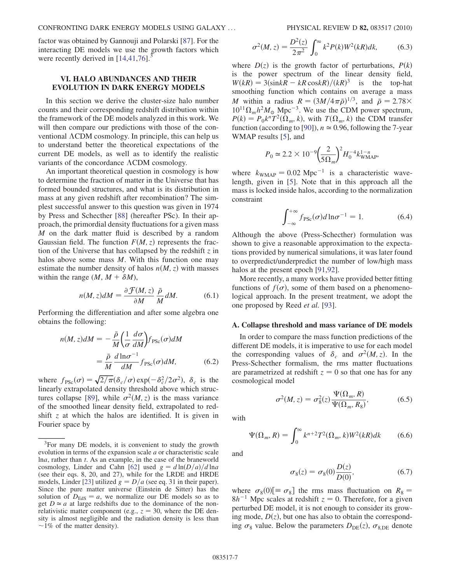factor was obtained by Gannouji and Polarski [\[87\]](#page-12-25). For the interacting DE models we use the growth factors which were recently derived in  $[14,41,76]$  $[14,41,76]$  $[14,41,76]$ .

# VI. HALO ABUNDANCES AND THEIR EVOLUTION IN DARK ENERGY MODELS

In this section we derive the cluster-size halo number counts and their corresponding redshift distribution within the framework of the DE models analyzed in this work. We will then compare our predictions with those of the conventional  $\Lambda$ CDM cosmology. In principle, this can help us to understand better the theoretical expectations of the current DE models, as well as to identify the realistic variants of the concordance  $\Lambda$ CDM cosmology.

An important theoretical question in cosmology is how to determine the fraction of matter in the Universe that has formed bounded structures, and what is its distribution in mass at any given redshift after recombination? The simplest successful answer to this question was given in 1974 by Press and Schecther [[88](#page-12-26)] (hereafter PSc). In their approach, the primordial density fluctuations for a given mass M on the dark matter fluid is described by a random Gaussian field. The function  $F(M, z)$  represents the fraction of the Universe that has collapsed by the redshift  $\zeta$  in halos above some mass  $M$ . With this function one may estimate the number density of halos  $n(M, z)$  with masses within the range  $(M, M + \delta M)$ ,

$$
n(M, z)dM = \frac{\partial \mathcal{F}(M, z)}{\partial M} \frac{\bar{\rho}}{M} dM. \tag{6.1}
$$

Performing the differentiation and after some algebra one obtains the following:

$$
n(M, z)dM = -\frac{\bar{\rho}}{M} \left(\frac{1}{\sigma} \frac{d\sigma}{dM}\right) f_{\text{PSc}}(\sigma) dM
$$

$$
= \frac{\bar{\rho}}{M} \frac{d \ln \sigma^{-1}}{dM} f_{\text{PSc}}(\sigma) dM, \tag{6.2}
$$

where  $f_{PSc}(\sigma) = \sqrt{2/\pi} (\delta_c/\sigma) \exp(-\delta_c^2/2\sigma^2)$ ,  $\delta_c$  is the linearly extrapolated density threshold above which struc-tures collapse [[89](#page-12-27)], while  $\sigma^2(M, z)$  is the mass variance of the smoothed linear density field, extrapolated to redshift  $z$  at which the halos are identified. It is given in Fourier space by

<span id="page-6-1"></span>
$$
\sigma^2(M, z) = \frac{D^2(z)}{2\pi^2} \int_0^\infty k^2 P(k) W^2(kR) dk, \tag{6.3}
$$

where  $D(z)$  is the growth factor of perturbations,  $P(k)$ is the power spectrum of the linear density field,  $W(kR) = 3(\sin kR - kR \cos kR)/(kR)^3$  is the top-hat smoothing function which contains on average a mass M within a radius  $R = (3M/4\pi\bar{\rho})^{1/3}$ , and  $\bar{\rho} = 2.78 \times 10^{13}$  $10^{11} \Omega_m h^2 M_{\odot}$  Mpc<sup>-3</sup>. We use the CDM power spectrum,  $P(k) = P_0 k^n T^2(\Omega_m, k)$ , with  $T(\Omega_m, k)$  the CDM transfer function (according to [[90](#page-12-28)]),  $n \approx 0.96$ , following the 7-year WMAP results [\[5\]](#page-11-23), and

$$
P_0 \simeq 2.2 \times 10^{-9} \left(\frac{2}{5\Omega_m}\right)^2 H_0^{-4} k_{\text{WMAP}}^{1-n},
$$

<span id="page-6-0"></span>where  $k_{\text{WMAP}} = 0.02 \text{ Mpc}^{-1}$  is a characteristic wavelength, given in [\[5](#page-11-23)]. Note that in this approach all the mass is locked inside halos, according to the normalization constraint

$$
\int_{-\infty}^{+\infty} f_{\rm PSc}(\sigma) d\ln \sigma^{-1} = 1.
$$
 (6.4)

Although the above (Press-Schecther) formulation was shown to give a reasonable approximation to the expectations provided by numerical simulations, it was later found to overpredict/underpredict the number of low/high mass halos at the present epoch [\[91,](#page-12-29)[92](#page-12-30)].

More recently, a many works have provided better fitting functions of  $f(\sigma)$ , some of them based on a phenomenological approach. In the present treatment, we adopt the one proposed by Reed et al. [[93\]](#page-12-31).

#### A. Collapse threshold and mass variance of DE models

In order to compare the mass function predictions of the different DE models, it is imperative to use for each model the corresponding values of  $\delta_c$  and  $\sigma^2(M, z)$ . In the Press-Schecther formalism, the rms matter fluctuations are parametrized at redshift  $z = 0$  so that one has for any cosmological model

$$
\sigma^2(M, z) = \sigma_8^2(z) \frac{\Psi(\Omega_m, R)}{\Psi(\Omega_m, R_8)},\tag{6.5}
$$

with

$$
\Psi(\Omega_m, R) = \int_0^\infty k^{n+2} T^2(\Omega_m, k) W^2(kR) dk \qquad (6.6)
$$

and

$$
\sigma_8(z) = \sigma_8(0) \frac{D(z)}{D(0)},
$$
\n(6.7)

where  $\sigma_8(0)$ [ $\equiv \sigma_8$ ] the rms mass fluctuation on  $R_8 =$  $8h^{-1}$  Mpc scales at redshift  $z = 0$ . Therefore, for a given perturbed DE model, it is not enough to consider its growing mode,  $D(z)$ , but one has also to obtain the corresponding  $\sigma_8$  value. Below the parameters  $D_{DE}(z)$ ,  $\sigma_{8,DE}$  denote

<sup>&</sup>lt;sup>3</sup>For many DE models, it is convenient to study the growth evolution in terms of the expansion scale a or characteristic scale lna, rather than t. As an example, in the case of the braneworld cosmology, Linder and Cahn [\[62\]](#page-12-3) used  $g = d \ln(D/a)/d \ln a$ (see their eqs. 8, 20, and 27), while for the LRDE and HRDE models, Linder [[23](#page-11-17)] utilized  $g = D/a$  (see eq. 31 in their paper). Since the pure matter universe (Einstein de Sitter) has the solution of  $D_{\text{EdS}} = a$ , we normalize our DE models so as to get  $D \simeq a$  at large redshifts due to the dominance of the nonrelativistic matter component (e.g.,  $z = 30$ , where the DE density is almost negligible and the radiation density is less than  $\sim$ 1% of the matter density).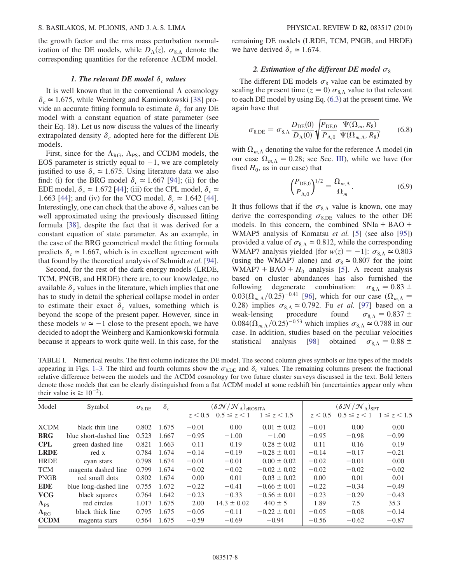the growth factor and the rms mass perturbation normalization of the DE models, while  $D_{\Lambda}(z)$ ,  $\sigma_{8,\Lambda}$  denote the corresponding quantities for the reference  $\Lambda$ CDM model.

## 1. The relevant DE model  $\delta_c$  values

It is well known that in the conventional  $\Lambda$  cosmology  $\delta_c \approx 1.675$ , while Weinberg and Kamionkowski [[38](#page-11-14)] provide an accurate fitting formula to estimate  $\delta_c$  for any DE model with a constant equation of state parameter (see their Eq. 18). Let us now discuss the values of the linearly extrapolated density  $\delta_c$  adopted here for the different DE models.

First, since for the  $\Lambda_{RG}$ ,  $\Lambda_{PS}$ , and CCDM models, the EOS parameter is strictly equal to  $-1$ , we are completely justified to use  $\delta_c \approx 1.675$ . Using literature data we also find: (i) for the BRG model  $\delta_c \approx 1.667$  [[94](#page-12-32)]; (ii) for the EDE model,  $\delta_c \approx 1.672$  [[44](#page-11-39)]; (iii) for the CPL model,  $\delta_c \approx$ 1.663 [\[44\]](#page-11-39); and (iv) for the VCG model,  $\delta_c \approx 1.642$  [44]. Interestingly, one can check that the above  $\delta_c$  values can be well approximated using the previously discussed fitting formula [\[38\]](#page-11-14), despite the fact that it was derived for a constant equation of state parameter. As an example, in the case of the BRG geometrical model the fitting formula predicts  $\delta_c \approx 1.667$ , which is in excellent agreement with that found by the theoretical analysis of Schmidt et al. [[94\]](#page-12-32).

Second, for the rest of the dark energy models (LRDE, TCM, PNGB, and HRDE) there are, to our knowledge, no available  $\delta_c$  values in the literature, which implies that one has to study in detail the spherical collapse model in order to estimate their exact  $\delta_c$  values, something which is beyond the scope of the present paper. However, since in these models  $w \approx -1$  close to the present epoch, we have decided to adopt the Weinberg and Kamionkowski formula because it appears to work quite well. In this case, for the remaining DE models (LRDE, TCM, PNGB, and HRDE) we have derived  $\delta_c \approx 1.674$ .

## 2. Estimation of the different DE model  $\sigma_8$

The different DE models  $\sigma_8$  value can be estimated by scaling the present time ( $z = 0$ )  $\sigma_{8A}$  value to that relevant to each DE model by using Eq. ([6.3](#page-6-1)) at the present time. We again have that

<span id="page-7-0"></span>
$$
\sigma_{8,\text{DE}} = \sigma_{8,\Lambda} \frac{D_{\text{DE}}(0)}{D_{\Lambda}(0)} \sqrt{\frac{P_{\text{DE},0}}{P_{\Lambda,0}} \frac{\Psi(\Omega_m, R_8)}{\Psi(\Omega_{m,\Lambda}, R_8)}},\tag{6.8}
$$

with  $\Omega_{m,\Lambda}$  denoting the value for the reference  $\Lambda$  model (in our case  $\Omega_{m,\Lambda} = 0.28$ ; see Sec. [III](#page-1-1)), while we have (for fixed  $H_0$ , as in our case) that

$$
\left(\frac{P_{\text{DE},0}}{P_{\Lambda,0}}\right)^{1/2} = \frac{\Omega_{m,\Lambda}}{\Omega_m}.
$$
\n(6.9)

It thus follows that if the  $\sigma_{8,\Lambda}$  value is known, one may derive the corresponding  $\sigma_{8,DE}$  values to the other DE models. In this concern, the combined  $SNIa + BAO +$ WMAP5 analysis of Komatsu et al. [[5\]](#page-11-23) (see also [[95](#page-12-33)]) provided a value of  $\sigma_{8,\Lambda} \simeq 0.812$ , while the corresponding WMAP7 analysis yielded [for  $w(z) = -1$ ]:  $\sigma_{8A} \approx 0.803$ (using the WMAP7 alone) and  $\sigma_8 \simeq 0.807$  for the joint WMAP7 + BAO +  $H_0$  analysis [\[5](#page-11-23)]. A recent analysis based on cluster abundances has also furnished the following degenerate combination:  $\sigma_{8A} = 0.83 \pm$  $0.03(\Omega_{m,\Lambda}/0.25)^{-0.41}$  [[96](#page-12-34)], which for our case  $(\Omega_{m,\Lambda} =$ 0.28) implies  $\sigma_{8,\Lambda} \simeq 0.792$ . Fu *et al.* [[97](#page-12-35)] based on a weak-lensing procedure found  $\sigma_{8,\Lambda} = 0.837 \pm 0.837$  $\sigma_{8,\Lambda} = 0.837 \pm$  $0.084(\Omega_{m,\Lambda}/0.25)^{-0.53}$  which implies  $\sigma_{8,\Lambda} \simeq 0.788$  in our case. In addition, studies based on the peculiar velocities statistical analysis [[98\]](#page-12-36) obtained  $\sigma_{8A} = 0.88 \pm$ 

<span id="page-7-1"></span>TABLE I. Numerical results. The first column indicates the DE model. The second column gives symbols or line types of the models appearing in Figs. [1](#page-8-0)[–3.](#page-9-0) The third and fourth columns show the  $\sigma_{8,DE}$  and  $\delta_c$  values. The remaining columns present the fractional relative difference between the models and the CDM cosmology for two future cluster surveys discussed in the text. Bold letters denote those models that can be clearly distinguished from a flat CDM model at some redshift bin (uncertainties appear only when their value is  $\geq 10^{-2}$ ).

| Model          | Symbol                 | $\sigma_{8,\text{DE}}$ | $\delta_c$ | $(\delta \mathcal{N}/\mathcal{N}_\Lambda)_{\text{eROSITA}}$ |                                           |                  | $(\delta \mathcal{N} / \mathcal{N}_\Lambda)_{\text{SPT}}$ |                                           |         |
|----------------|------------------------|------------------------|------------|-------------------------------------------------------------|-------------------------------------------|------------------|-----------------------------------------------------------|-------------------------------------------|---------|
|                |                        |                        |            |                                                             | $z < 0.5$ $0.5 \le z < 1$ $1 \le z < 1.5$ |                  |                                                           | $z < 0.5$ $0.5 \le z < 1$ $1 \le z < 1.5$ |         |
| <b>XCDM</b>    | black thin line        | 0.802                  | 1.675      | $-0.01$                                                     | 0.00                                      | $0.01 \pm 0.02$  | $-0.01$                                                   | 0.00                                      | 0.00    |
| <b>BRG</b>     | blue short-dashed line | 0.523                  | 1.667      | $-0.95$                                                     | $-1.00$                                   | $-1.00$          | $-0.95$                                                   | $-0.98$                                   | $-0.99$ |
| <b>CPL</b>     | green dashed line      | 0.821                  | 1.663      | 0.11                                                        | 0.19                                      | $0.28 \pm 0.02$  | 0.11                                                      | 0.16                                      | 0.19    |
| <b>LRDE</b>    | red x                  | 0.784                  | 1.674      | $-0.14$                                                     | $-0.19$                                   | $-0.28 \pm 0.01$ | $-0.14$                                                   | $-0.17$                                   | $-0.21$ |
| <b>HRDE</b>    | cyan stars             | 0.798                  | 1.674      | $-0.01$                                                     | $-0.01$                                   | $0.00 \pm 0.02$  | $-0.02$                                                   | $-0.01$                                   | 0.00    |
| <b>TCM</b>     | magenta dashed line    | 0.799                  | 1.674      | $-0.02$                                                     | $-0.02$                                   | $-0.02 \pm 0.02$ | $-0.02$                                                   | $-0.02$                                   | $-0.02$ |
| <b>PNGB</b>    | red small dots         | 0.802                  | 1.674      | 0.00                                                        | 0.01                                      | $0.03 \pm 0.02$  | 0.00                                                      | 0.01                                      | 0.01    |
| <b>EDE</b>     | blue long-dashed line  | 0.755                  | 1.672      | $-0.22$                                                     | $-0.41$                                   | $-0.66 \pm 0.01$ | $-0.22$                                                   | $-0.34$                                   | $-0.49$ |
| <b>VCG</b>     | black squares          | 0.764                  | 1.642      | $-0.23$                                                     | $-0.33$                                   | $-0.56 \pm 0.01$ | $-0.23$                                                   | $-0.29$                                   | $-0.43$ |
| $\Lambda_{PS}$ | red circles            | 1.017                  | 1.675      | 2.00                                                        | $14.3 \pm 0.02$                           | $440 \pm 5$      | 1.89                                                      | 7.5                                       | 35.3    |
| $\Lambda_{RG}$ | black thick line       | 0.795                  | 1.675      | $-0.05$                                                     | $-0.11$                                   | $-0.22 \pm 0.01$ | $-0.05$                                                   | $-0.08$                                   | $-0.14$ |
| <b>CCDM</b>    | magenta stars          | 0.564                  | 1.675      | $-0.59$                                                     | $-0.69$                                   | $-0.94$          | $-0.56$                                                   | $-0.62$                                   | $-0.87$ |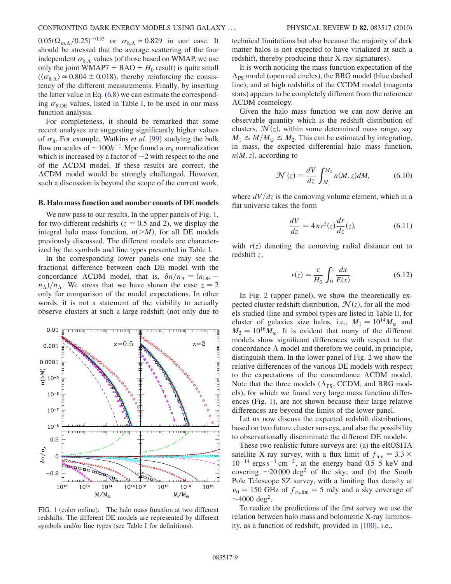$0.05(\Omega_{m,\Lambda}/0.25)^{-0.53}$  or  $\sigma_{8,\Lambda} \simeq 0.829$  in our case. It should be stressed that the average scattering of the four independent  $\sigma_{8, \Lambda}$  values (of those based on WMAP, we use only the joint WMAP7 + BAO +  $H_0$  result) is quite small  $(\langle \sigma_{8A} \rangle \approx 0.804 \pm 0.018)$ , thereby reinforcing the consistency of the different measurements. Finally, by inserting the latter value in Eq. ([6.8](#page-7-0)) we can estimate the corresponding  $\sigma_{8,DE}$  values, listed in Table [I,](#page-7-1) to be used in our mass function analysis.

For completeness, it should be remarked that some recent analyses are suggesting significantly higher values of  $\sigma_8$ . For example, Watkins *et al.* [[99](#page-12-37)] studying the bulk flow on scales of  $\sim 100h^{-1}$  Mpc found a  $\sigma_8$  normalization which is increased by a factor of  $\sim$ 2 with respect to the one of the  $\Lambda$ CDM model. If these results are correct, the CDM model would be strongly challenged. However, such a discussion is beyond the scope of the current work.

## B. Halo mass function and number counts of DE models

We now pass to our results. In the upper panels of Fig. [1](#page-8-0), for two different redshifts ( $z = 0.5$  and 2), we display the integral halo mass function,  $n(>M)$ , for all DE models previously discussed. The different models are characterized by the symbols and line types presented in Table [I](#page-7-1).

In the corresponding lower panels one may see the fractional difference between each DE model with the concordance ACDM model, that is,  $\delta n/n_A = (n_{\text{DE}}$  $n_{\Lambda}$ )/ $n_{\Lambda}$ . We stress that we have shown the case  $z = 2$ only for comparison of the model expectations. In other words, it is not a statement of the viability to actually observe clusters at such a large redshift (not only due to

<span id="page-8-0"></span>

FIG. 1 (color online). The halo mass function at two different redshifts. The different DE models are represented by different symbols and/or line types (see Table [I](#page-7-1) for definitions).

technical limitations but also because the majority of dark matter halos is not expected to have virialized at such a redshift, thereby producing their X-ray signatures).

It is worth noticing the mass function expectation of the  $\Lambda_{\text{PS}}$  model (open red circles), the BRG model (blue dashed line), and at high redshifts of the CCDM model (magenta stars) appears to be completely different from the reference  $\Lambda$ CDM cosmology.

Given the halo mass function we can now derive an observable quantity which is the redshift distribution of clusters,  $\mathcal{N}(z)$ , within some determined mass range, say  $M_1 \leq M/M_{\odot} \leq M_2$ . This can be estimated by integrating, in mass, the expected differential halo mass function,  $n(M, z)$ , according to

$$
\mathcal{N}(z) = \frac{dV}{dz} \int_{M_1}^{M_2} n(M, z) dM, \tag{6.10}
$$

where  $dV/dz$  is the comoving volume element, which in a flat universe takes the form

$$
\frac{dV}{dz} = 4\pi r^2(z)\frac{dr}{dz}(z),\tag{6.11}
$$

with  $r(z)$  denoting the comoving radial distance out to redshift z,

$$
r(z) = \frac{c}{H_0} \int_0^z \frac{dx}{E(x)}.
$$
 (6.12)

In Fig. [2](#page-9-1) (upper panel), we show the theoretically expected cluster redshift distribution,  $\mathcal{N}(z)$ , for all the models studied (line and symbol types are listed in Table [I](#page-7-1)), for cluster of galaxies size halos, i.e.,  $M_1 = 10^{14} M_{\odot}$  and  $M_2 = 10^{16} M_{\odot}$ . It is evident that many of the different models show significant differences with respect to the concordance  $\Lambda$  model and therefore we could, in principle, distinguish them. In the lower panel of Fig. [2](#page-9-1) we show the relative differences of the various DE models with respect to the expectations of the concordance  $\Lambda$ CDM model. Note that the three models  $(\Lambda_{PS},$  CCDM, and BRG models), for which we found very large mass function differences (Fig. [1\)](#page-8-0), are not shown because their large relative differences are beyond the limits of the lower panel.

Let us now discuss the expected redshift distributions, based on two future cluster surveys, and also the possibility to observationally discriminate the different DE models.

These two realistic future surveys are: (a) the eROSITA satellite X-ray survey, with a flux limit of  $f_{\text{lim}} = 3.3 \times$  $10^{-14}$  ergs s<sup>-1</sup> cm<sup>-2</sup>, at the energy band 0.5–5 keV and covering  $\sim$  20 000 deg<sup>2</sup> of the sky; and (b) the South Pole Telescope SZ survey, with a limiting flux density at  $v_0$  = 150 GHz of  $f_{v_0,lim}$  = 5 mJy and a sky coverage of  $\sim$ 4000 deg<sup>2</sup>.

To realize the predictions of the first survey we use the relation between halo mass and bolometric X-ray luminosity, as a function of redshift, provided in [[100](#page-12-38)], i.e.,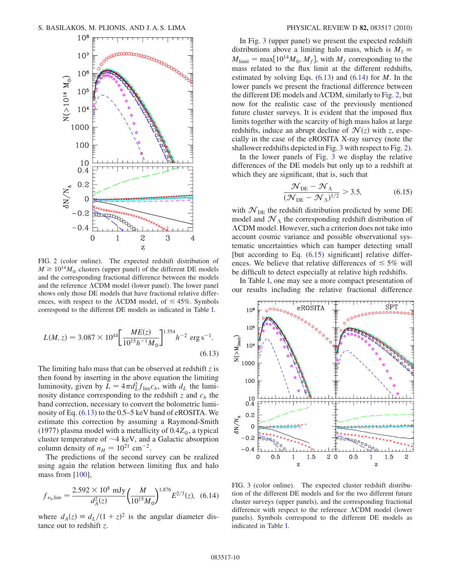<span id="page-9-1"></span>

FIG. 2 (color online). The expected redshift distribution of  $M \ge 10^{14} M_{\odot}$  clusters (upper panel) of the different DE models and the corresponding fractional difference between the models and the reference  $\Lambda$ CDM model (lower panel). The lower panel shows only those DE models that have fractional relative differences, with respect to the  $\Lambda$ CDM model, of  $\leq 45\%$ . Symbols correspond to the different DE models as indicated in Table [I](#page-7-1).

<span id="page-9-2"></span>
$$
L(M, z) = 3.087 \times 10^{44} \left[ \frac{ME(z)}{10^{15} h^{-1} M_{\odot}} \right]^{1.554} h^{-2} \text{ erg s}^{-1}.
$$
\n(6.13)

The limiting halo mass that can be observed at redshift  $z$  is then found by inserting in the above equation the limiting luminosity, given by  $L = 4\pi d_L^2 f_{\text{lim}} c_b$ , with  $d_L$  the luminosity distance corresponding to the redshift z and  $c<sub>b</sub>$  the band correction, necessary to convert the bolometric luminosity of Eq. [\(6.13](#page-9-2)) to the 0.5–5 keV band of eROSITA. We estimate this correction by assuming a Raymond-Smith (1977) plasma model with a metallicity of  $0.4Z_{\odot}$ , a typical cluster temperature of  $\sim$ 4 keV, and a Galactic absorption column density of  $n_H = 10^{21}$  cm<sup>-2</sup>.

The predictions of the second survey can be realized using again the relation between limiting flux and halo mass from [[100](#page-12-38)],

<span id="page-9-3"></span>
$$
f_{\nu_0,\text{lim}} = \frac{2.592 \times 10^8 \text{ mJy}}{d_A^2(z)} \left(\frac{M}{10^{15} M_\odot}\right)^{1.876} E^{2/3}(z), \tag{6.14}
$$

where  $d_A(z) \equiv d_L/(1+z)^2$  is the angular diameter distance out to redshift z.

In Fig. [3](#page-9-0) (upper panel) we present the expected redshift distributions above a limiting halo mass, which is  $M_1 \equiv$  $M_{\text{limit}} = \max[10^{14} M_{\odot}, M_f]$ , with  $M_f$  corresponding to the mass related to the flux limit at the different redshifts, estimated by solving Eqs.  $(6.13)$  and  $(6.14)$  $(6.14)$  $(6.14)$  for M. In the lower panels we present the fractional difference between the different DE models and  $\Lambda$ CDM, similarly to Fig. [2](#page-9-1), but now for the realistic case of the previously mentioned future cluster surveys. It is evident that the imposed flux limits together with the scarcity of high mass halos at large redshifts, induce an abrupt decline of  $\mathcal{N}(z)$  with z, especially in the case of the eROSITA X-ray survey (note the shallower redshifts depicted in Fig. [3](#page-9-0) with respect to Fig. [2](#page-9-1)).

<span id="page-9-4"></span>In the lower panels of Fig. [3](#page-9-0) we display the relative differences of the DE models but only up to a redshift at which they are significant, that is, such that

$$
\frac{\mathcal{N}_{\text{DE}} - \mathcal{N}_{\Lambda}}{(\mathcal{N}_{\text{DE}} - \mathcal{N}_{\Lambda})^{1/2}} > 3.5, \tag{6.15}
$$

with  $\mathcal{N}_{\text{DE}}$  the redshift distribution predicted by some DE model and  $\mathcal{N}_\Lambda$  the corresponding redshift distribution of CDM model. However, such a criterion does not take into account cosmic variance and possible observational systematic uncertainties which can hamper detecting small [but according to Eq.  $(6.15)$  $(6.15)$  significant] relative differences. We believe that relative differences of  $\leq 5\%$  will be difficult to detect especially at relative high redshifts.

In Table [I](#page-7-1), one may see a more compact presentation of our results including the relative fractional difference

<span id="page-9-0"></span>

FIG. 3 (color online). The expected cluster redshift distribution of the different DE models and for the two different future cluster surveys (upper panels), and the corresponding fractional difference with respect to the reference  $\Lambda$ CDM model (lower panels). Symbols correspond to the different DE models as indicated in Table [I.](#page-7-1)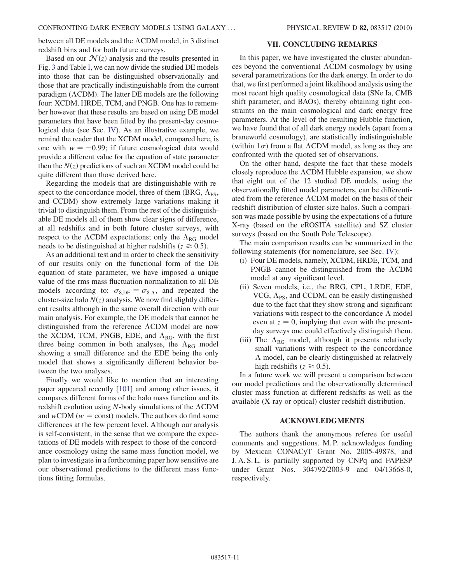between all DE models and the  $\Lambda$ CDM model, in 3 distinct redshift bins and for both future surveys.

Based on our  $\mathcal{N}(z)$  analysis and the results presented in Fig. [3](#page-9-0) and Table [I,](#page-7-1) we can now divide the studied DE models into those that can be distinguished observationally and those that are practically indistinguishable from the current paradigm ( $\Lambda$ CDM). The latter DE models are the following four: XCDM, HRDE, TCM, and PNGB. One has to remember however that these results are based on using DE model parameters that have been fitted by the present-day cosmological data (see Sec. [IV](#page-2-0)). As an illustrative example, we remind the reader that the XCDM model, compared here, is one with  $w = -0.99$ ; if future cosmological data would provide a different value for the equation of state parameter then the  $N(z)$  predictions of such an XCDM model could be quite different than those derived here.

Regarding the models that are distinguishable with respect to the concordance model, three of them (BRG,  $\Lambda_{PS}$ , and CCDM) show extremely large variations making it trivial to distinguish them. From the rest of the distinguishable DE models all of them show clear signs of difference, at all redshifts and in both future cluster surveys, with respect to the  $\Lambda$ CDM expectations; only the  $\Lambda_{\rm RG}$  model needs to be distinguished at higher redshifts ( $z \ge 0.5$ ).

As an additional test and in order to check the sensitivity of our results only on the functional form of the DE equation of state parameter, we have imposed a unique value of the rms mass fluctuation normalization to all DE models according to:  $\sigma_{8,DE} = \sigma_{8,\Lambda}$ , and repeated the cluster-size halo  $N(z)$  analysis. We now find slightly different results although in the same overall direction with our main analysis. For example, the DE models that cannot be distinguished from the reference  $\Lambda$ CDM model are now the XCDM, TCM, PNGB, EDE, and  $\Lambda_{RG}$ , with the first three being common in both analyses, the  $\Lambda_{RG}$  model showing a small difference and the EDE being the only model that shows a significantly different behavior between the two analyses.

Finally we would like to mention that an interesting paper appeared recently [\[101\]](#page-12-39) and among other issues, it compares different forms of the halo mass function and its redshift evolution using  $N$ -body simulations of the  $\Lambda$ CDM and  $wCDM$  ( $w = const$ ) models. The authors do find some differences at the few percent level. Although our analysis is self-consistent, in the sense that we compare the expectations of DE models with respect to those of the concordance cosmology using the same mass function model, we plan to investigate in a forthcoming paper how sensitive are our observational predictions to the different mass functions fitting formulas.

#### VII. CONCLUDING REMARKS

<span id="page-10-0"></span>In this paper, we have investigated the cluster abundances beyond the conventional CDM cosmology by using several parametrizations for the dark energy. In order to do that, we first performed a joint likelihood analysis using the most recent high quality cosmological data (SNe Ia, CMB shift parameter, and BAOs), thereby obtaining tight constraints on the main cosmological and dark energy free parameters. At the level of the resulting Hubble function, we have found that of all dark energy models (apart from a braneworld cosmology), are statistically indistinguishable (within  $1\sigma$ ) from a flat  $\Lambda$ CDM model, as long as they are confronted with the quoted set of observations.

On the other hand, despite the fact that these models closely reproduce the  $\Lambda$ CDM Hubble expansion, we show that eight out of the 12 studied DE models, using the observationally fitted model parameters, can be differentiated from the reference  $\Lambda$ CDM model on the basis of their redshift distribution of cluster-size halos. Such a comparison was made possible by using the expectations of a future X-ray (based on the eROSITA satellite) and SZ cluster surveys (based on the South Pole Telescope).

The main comparison results can be summarized in the following statements (for nomenclature, see Sec. [IV\)](#page-2-0):

- (i) Four DE models, namely, XCDM, HRDE, TCM, and PNGB cannot be distinguished from the  $\Lambda$ CDM model at any significant level.
- (ii) Seven models, i.e., the BRG, CPL, LRDE, EDE, VCG,  $\Lambda_{PS}$ , and CCDM, can be easily distinguished due to the fact that they show strong and significant variations with respect to the concordance  $\Lambda$  model even at  $z = 0$ , implying that even with the presentday surveys one could effectively distinguish them.
- (iii) The  $\Lambda_{RG}$  model, although it presents relatively small variations with respect to the concordance  $\Lambda$  model, can be clearly distinguished at relatively high redshifts ( $z \ge 0.5$ ).

In a future work we will present a comparison between our model predictions and the observationally determined cluster mass function at different redshifts as well as the available (X-ray or optical) cluster redshift distribution.

## ACKNOWLEDGMENTS

The authors thank the anonymous referee for useful comments and suggestions. M. P. acknowledges funding by Mexican CONACyT Grant No. 2005-49878, and J. A. S. L. is partially supported by CNPq and FAPESP under Grant Nos. 304792/2003-9 and 04/13668-0, respectively.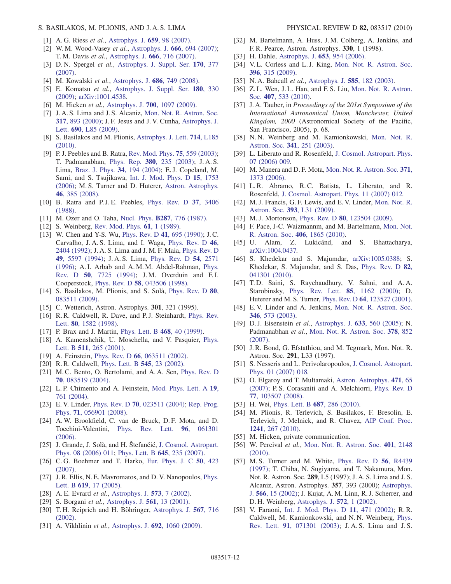## S. BASILAKOS, M. PLIONIS, AND J. A. S. LIMA PHYSICAL REVIEW D 82, 083517 (2010)

- <span id="page-11-0"></span>[1] A. G. Riess et al., [Astrophys. J.](http://dx.doi.org/10.1086/510378) 659, 98 (2007).
- <span id="page-11-25"></span>[2] W. M. Wood-Vasey *et al.*, [Astrophys. J.](http://dx.doi.org/10.1086/518642) **666**, 694 (2007); T. M. Davis et al., [Astrophys. J.](http://dx.doi.org/10.1086/519988) 666, 716 (2007).
- [3] D. N. Spergel et al., [Astrophys. J. Suppl. Ser.](http://dx.doi.org/10.1086/513700) 170, 377 [\(2007\)](http://dx.doi.org/10.1086/513700).
- <span id="page-11-32"></span>[4] M. Kowalski et al., [Astrophys. J.](http://dx.doi.org/10.1086/589937) 686, 749 (2008).
- <span id="page-11-23"></span>[5] E. Komatsu et al., [Astrophys. J. Suppl. Ser.](http://dx.doi.org/10.1088/0067-0049/180/2/330) 180, 330 [\(2009\)](http://dx.doi.org/10.1088/0067-0049/180/2/330); [arXiv:1001.4538.](http://arXiv.org/abs/1001.4538)
- <span id="page-11-19"></span>[6] M. Hicken *et al.*, Astrophys. J. **700**[, 1097 \(2009\)](http://dx.doi.org/10.1088/0004-637X/700/2/1097).
- [7] J. A. S. Lima and J. S. Alcaniz, [Mon. Not. R. Astron. Soc.](http://dx.doi.org/10.1046/j.1365-8711.2000.03695.x) 317[, 893 \(2000\)](http://dx.doi.org/10.1046/j.1365-8711.2000.03695.x); J. F. Jesus and J. V. Cunha, [Astrophys. J.](http://dx.doi.org/10.1088/0004-637X/690/1/L85) Lett. 690[, L85 \(2009\).](http://dx.doi.org/10.1088/0004-637X/690/1/L85)
- <span id="page-11-1"></span>[8] S. Basilakos and M. Plionis, [Astrophys. J. Lett.](http://dx.doi.org/10.1088/2041-8205/714/2/L185) 714, L185 [\(2010\)](http://dx.doi.org/10.1088/2041-8205/714/2/L185).
- <span id="page-11-2"></span>[9] P. J. Peebles and B. Ratra, [Rev. Mod. Phys.](http://dx.doi.org/10.1103/RevModPhys.75.559) **75**, 559 (2003); T. Padmanabhan, Phys. Rep. 380[, 235 \(2003\)](http://dx.doi.org/10.1016/S0370-1573(03)00120-0); J. A. S. Lima, [Braz. J. Phys.](http://dx.doi.org/10.1590/S0103-97332004000300013) 34, 194 (2004); E. J. Copeland, M. Sami, and S. Tsujikawa, [Int. J. Mod. Phys. D](http://dx.doi.org/10.1142/S021827180600942X) 15, 1753 [\(2006\)](http://dx.doi.org/10.1142/S021827180600942X); M. S. Turner and D. Huterer, [Astron. Astrophys.](http://dx.doi.org/10.1146/annurev.astro.46.060407.145243) 46[, 385 \(2008\)](http://dx.doi.org/10.1146/annurev.astro.46.060407.145243).
- <span id="page-11-3"></span>[10] B. Ratra and P.J.E. Peebles, [Phys. Rev. D](http://dx.doi.org/10.1103/PhysRevD.37.3406) 37, 3406 [\(1988\)](http://dx.doi.org/10.1103/PhysRevD.37.3406).
- [11] M. Ozer and O. Taha, Nucl. Phys. **B287**[, 776 \(1987\).](http://dx.doi.org/10.1016/0550-3213(87)90128-3)
- [12] S. Weinberg, [Rev. Mod. Phys.](http://dx.doi.org/10.1103/RevModPhys.61.1) **61**, 1 (1989).
- <span id="page-11-35"></span>[13] W. Chen and Y-S. Wu, [Phys. Rev. D](http://dx.doi.org/10.1103/PhysRevD.41.695) 41, 695 (1990); J.C. Carvalho, J. A. S. Lima, and I. Waga, [Phys. Rev. D](http://dx.doi.org/10.1103/PhysRevD.46.2404) 46, [2404 \(1992\)](http://dx.doi.org/10.1103/PhysRevD.46.2404); J. A. S. Lima and J. M. F. Maia, [Phys. Rev. D](http://dx.doi.org/10.1103/PhysRevD.49.5597) 49[, 5597 \(1994\);](http://dx.doi.org/10.1103/PhysRevD.49.5597) J. A. S. Lima, [Phys. Rev. D](http://dx.doi.org/10.1103/PhysRevD.54.2571) 54, 2571 [\(1996\)](http://dx.doi.org/10.1103/PhysRevD.54.2571); A. I. Arbab and A. M. M. Abdel-Rahman, [Phys.](http://dx.doi.org/10.1103/PhysRevD.50.7725) Rev. D 50[, 7725 \(1994\)](http://dx.doi.org/10.1103/PhysRevD.50.7725); J.M. Overduin and F.I. Cooperstock, Phys. Rev. D 58[, 043506 \(1998\)](http://dx.doi.org/10.1103/PhysRevD.58.043506).
- <span id="page-11-36"></span>[14] S. Basilakos, M. Plionis, and S. Solà, [Phys. Rev. D](http://dx.doi.org/10.1103/PhysRevD.80.083511) 80, [083511 \(2009\)](http://dx.doi.org/10.1103/PhysRevD.80.083511).
- [15] C. Wetterich, Astron. Astrophys. **301**, 321 (1995).
- [16] R.R. Caldwell, R. Dave, and P.J. Steinhardt, [Phys. Rev.](http://dx.doi.org/10.1103/PhysRevLett.80.1582) Lett. 80[, 1582 \(1998\).](http://dx.doi.org/10.1103/PhysRevLett.80.1582)
- [17] P. Brax and J. Martin, [Phys. Lett. B](http://dx.doi.org/10.1016/S0370-2693(99)01209-5) 468, 40 (1999).
- [18] A. Kamenshchik, U. Moschella, and V. Pasquier, [Phys.](http://dx.doi.org/10.1016/S0370-2693(01)00571-8) Lett. B 511[, 265 \(2001\)](http://dx.doi.org/10.1016/S0370-2693(01)00571-8).
- [19] A. Feinstein, Phys. Rev. D 66[, 063511 \(2002\)](http://dx.doi.org/10.1103/PhysRevD.66.063511).
- [20] R. R. Caldwell, [Phys. Lett. B](http://dx.doi.org/10.1016/S0370-2693(02)02589-3) 545, 23 (2002).
- <span id="page-11-34"></span>[21] M.C. Bento, O. Bertolami, and A.A. Sen, [Phys. Rev. D](http://dx.doi.org/10.1103/PhysRevD.70.083519) 70[, 083519 \(2004\)](http://dx.doi.org/10.1103/PhysRevD.70.083519).
- [22] L.P. Chimento and A. Feinstein, [Mod. Phys. Lett. A](http://dx.doi.org/10.1142/S0217732304013507) 19, [761 \(2004\)](http://dx.doi.org/10.1142/S0217732304013507).
- <span id="page-11-17"></span>[23] E.V. Linder, Phys. Rev. D **70**[, 023511 \(2004\);](http://dx.doi.org/10.1103/PhysRevD.70.023511) [Rep. Prog.](http://dx.doi.org/10.1088/0034-4885/71/5/056901) Phys. 71[, 056901 \(2008\)](http://dx.doi.org/10.1088/0034-4885/71/5/056901).
- [24] A. W. Brookfield, C. van de Bruck, D. F. Mota, and D. Tocchini-Valentini, [Phys. Rev. Lett.](http://dx.doi.org/10.1103/PhysRevLett.96.061301) 96, 061301 [\(2006\)](http://dx.doi.org/10.1103/PhysRevLett.96.061301).
- <span id="page-11-37"></span>[25] J. Grande, J. Solà, and H. Štefančić, [J. Cosmol. Astropart.](http://dx.doi.org/10.1088/1475-7516/2006/08/011) [Phys. 08 \(2006\) 011;](http://dx.doi.org/10.1088/1475-7516/2006/08/011) [Phys. Lett. B](http://dx.doi.org/10.1016/j.physletb.2006.12.040) 645, 235 (2007).
- <span id="page-11-4"></span>[26] C. G. Boehmer and T. Harko, [Eur. Phys. J. C](http://dx.doi.org/10.1140/epjc/s10052-007-0210-1) 50, 423 [\(2007\)](http://dx.doi.org/10.1140/epjc/s10052-007-0210-1).
- <span id="page-11-5"></span>[27] J. R. Ellis, N. E. Mavromatos, and D. V. Nanopoulos, [Phys.](http://dx.doi.org/10.1016/j.physletb.2005.05.047) Lett. B 619[, 17 \(2005\)](http://dx.doi.org/10.1016/j.physletb.2005.05.047).
- <span id="page-11-7"></span><span id="page-11-6"></span>[28] A. E. Evrard *et al.*, [Astrophys. J.](http://dx.doi.org/10.1086/340551) **573**, 7 (2002).
- [29] S. Borgani et al., [Astrophys. J.](http://dx.doi.org/10.1086/323214) **561**, 13 (2001).
- [30] T.H. Reiprich and H. Böhringer, [Astrophys. J.](http://dx.doi.org/10.1086/338753) 567, 716 [\(2002\)](http://dx.doi.org/10.1086/338753).
- <span id="page-11-8"></span>[31] A. Vikhlinin et al., Astrophys. J. 692[, 1060 \(2009\)](http://dx.doi.org/10.1088/0004-637X/692/2/1060).
- <span id="page-11-9"></span>[32] M. Bartelmann, A. Huss, J. M. Colberg, A. Jenkins, and F. R. Pearce, Astron. Astrophys. 330, 1 (1998).
- [33] H. Dahle, [Astrophys. J.](http://dx.doi.org/10.1086/508654) **653**, 954 (2006).
- <span id="page-11-10"></span>[34] V.L. Corless and L.J. King, [Mon. Not. R. Astron. Soc.](http://dx.doi.org/10.1111/j.1365-2966.2009.14542.x) 396[, 315 \(2009\).](http://dx.doi.org/10.1111/j.1365-2966.2009.14542.x)
- <span id="page-11-11"></span>[35] N. A. Bahcall *et al.*, [Astrophys. J.](http://dx.doi.org/10.1086/345981) **585**, 182 (2003).
- <span id="page-11-12"></span>[36] Z.L. Wen, J.L. Han, and F.S. Liu, [Mon. Not. R. Astron.](http://dx.doi.org/10.1111/j.1365-2966.2010.16930.x) Soc. 407[, 533 \(2010\)](http://dx.doi.org/10.1111/j.1365-2966.2010.16930.x).
- <span id="page-11-13"></span>[37] J. A. Tauber, in Proceedings of the 201st Symposium of the International Astronomical Union, Manchester, United Kingdom, 2000 (Astronomical Society of the Pacific, San Francisco, 2005), p. 68.
- <span id="page-11-14"></span>[38] N. N. Weinberg and M. Kamionkowski, [Mon. Not. R.](http://dx.doi.org/10.1046/j.1365-8711.2003.06421.x) Astron. Soc. 341[, 251 \(2003\).](http://dx.doi.org/10.1046/j.1365-8711.2003.06421.x)
- [39] L. Liberato and R. Rosenfeld, [J. Cosmol. Astropart. Phys.](http://dx.doi.org/10.1088/1475-7516/2006/07/009) [07 \(2006\) 009.](http://dx.doi.org/10.1088/1475-7516/2006/07/009)
- [40] M. Manera and D. F. Mota, [Mon. Not. R. Astron. Soc.](http://dx.doi.org/10.1111/j.1365-2966.2006.10774.x) 371, [1373 \(2006\)](http://dx.doi.org/10.1111/j.1365-2966.2006.10774.x).
- <span id="page-11-38"></span>[41] L.R. Abramo, R.C. Batista, L. Liberato, and R. Rosenfeld, [J. Cosmol. Astropart. Phys. 11 \(2007\) 012](http://dx.doi.org/10.1088/1475-7516/2007/11/012).
- [42] M. J. Francis, G. F. Lewis, and E. V. Linder, [Mon. Not. R.](http://dx.doi.org/10.1111/j.1745-3933.2008.00592.x) Astron. Soc. 393[, L31 \(2009\).](http://dx.doi.org/10.1111/j.1745-3933.2008.00592.x)
- [43] M.J. Mortonson, Phys. Rev. D **80**[, 123504 \(2009\)](http://dx.doi.org/10.1103/PhysRevD.80.123504).
- <span id="page-11-39"></span>[44] F. Pace, J-C. Waizmannm, and M. Bartelmann, [Mon. Not.](http://dx.doi.org/10.1111/j.1365-2966.2010.16841.x) [R. Astron. Soc.](http://dx.doi.org/10.1111/j.1365-2966.2010.16841.x) 406, 1865 (2010).
- <span id="page-11-33"></span>[45] U. Alam, Z. Lukicánd, and S. Bhattacharya, [arXiv:1004.0437.](http://arXiv.org/abs/1004.0437)
- <span id="page-11-15"></span>[46] S. Khedekar and S. Majumdar, [arXiv:1005.0388](http://arXiv.org/abs/1005.0388); S. Khedekar, S. Majumdar, and S. Das, [Phys. Rev. D](http://dx.doi.org/10.1103/PhysRevD.82.041301) 82, [041301 \(2010\).](http://dx.doi.org/10.1103/PhysRevD.82.041301)
- <span id="page-11-16"></span>[47] T. D. Saini, S. Raychaudhury, V. Sahni, and A. A. Starobinsky, [Phys. Rev. Lett.](http://dx.doi.org/10.1103/PhysRevLett.85.1162) 85, 1162 (2000); D. Huterer and M. S. Turner, Phys. Rev. D 64[, 123527 \(2001\).](http://dx.doi.org/10.1103/PhysRevD.64.123527)
- <span id="page-11-18"></span>[48] E.V. Linder and A. Jenkins, [Mon. Not. R. Astron. Soc.](http://dx.doi.org/10.1046/j.1365-2966.2003.07112.x) 346[, 573 \(2003\).](http://dx.doi.org/10.1046/j.1365-2966.2003.07112.x)
- <span id="page-11-20"></span>[49] D. J. Eisenstein et al., [Astrophys. J.](http://dx.doi.org/10.1086/466512) 633, 560 (2005); N. Padmanabhan et al., [Mon. Not. R. Astron. Soc.](http://dx.doi.org/10.1111/j.1365-2966.2007.11593.x) 378, 852 [\(2007\)](http://dx.doi.org/10.1111/j.1365-2966.2007.11593.x).
- <span id="page-11-21"></span>[50] J. R. Bond, G. Efstathiou, and M. Tegmark, Mon. Not. R. Astron. Soc. 291, L33 (1997).
- <span id="page-11-22"></span>[51] S. Nesseris and L. Perivolaropoulos, [J. Cosmol. Astropart.](http://dx.doi.org/10.1088/1475-7516/2007/01/018) [Phys. 01 \(2007\) 018.](http://dx.doi.org/10.1088/1475-7516/2007/01/018)
- <span id="page-11-24"></span>[52] O. Elgaroy and T. Multamaki, [Astron. Astrophys.](http://dx.doi.org/10.1051/0004-6361:20077292) 471, 65 [\(2007\)](http://dx.doi.org/10.1051/0004-6361:20077292); P. S. Corasaniti and A. Melchiorri, [Phys. Rev. D](http://dx.doi.org/10.1103/PhysRevD.77.103507) 77[, 103507 \(2008\)](http://dx.doi.org/10.1103/PhysRevD.77.103507).
- <span id="page-11-27"></span><span id="page-11-26"></span>[53] H. Wei, [Phys. Lett. B](http://dx.doi.org/10.1016/j.physletb.2010.03.015) 687, 286 (2010).
- [54] M. Plionis, R. Terlevich, S. Basilakos, F. Bresolin, E. Terlevich, J. Melnick, and R. Chavez, [AIP Conf. Proc.](http://dx.doi.org/10.1063/1.3462645) 1241[, 267 \(2010\).](http://dx.doi.org/10.1063/1.3462645)
- <span id="page-11-29"></span><span id="page-11-28"></span>[55] M. Hicken, private communication.
- [56] W. Percival et al., [Mon. Not. R. Astron. Soc.](http://dx.doi.org/10.1111/j.1365-2966.2009.15812.x) 401, 2148 [\(2010\)](http://dx.doi.org/10.1111/j.1365-2966.2009.15812.x).
- <span id="page-11-30"></span>[57] M. S. Turner and M. White, [Phys. Rev. D](http://dx.doi.org/10.1103/PhysRevD.56.R4439) 56, R4439 [\(1997\)](http://dx.doi.org/10.1103/PhysRevD.56.R4439); T. Chiba, N. Sugiyama, and T. Nakamura, Mon. Not. R. Astron. Soc. 289, L5 (1997); J. A. S. Lima and J. S. Alcaniz, Astron. Astrophys. 357, 393 (2000); [Astrophys.](http://dx.doi.org/10.1086/337986) J. 566[, 15 \(2002\);](http://dx.doi.org/10.1086/337986) J. Kujat, A. M. Linn, R. J. Scherrer, and D. H. Weinberg, [Astrophys. J.](http://dx.doi.org/10.1086/340230) 572, 1 (2002).
- <span id="page-11-31"></span>[58] V. Faraoni, [Int. J. Mod. Phys. D](http://dx.doi.org/10.1142/S0218271802001809) 11, 471 (2002); R. R. Caldwell, M. Kamionkowski, and N. N. Weinberg, [Phys.](http://dx.doi.org/10.1103/PhysRevLett.91.071301) Rev. Lett. 91[, 071301 \(2003\);](http://dx.doi.org/10.1103/PhysRevLett.91.071301) J. A. S. Lima and J. S.